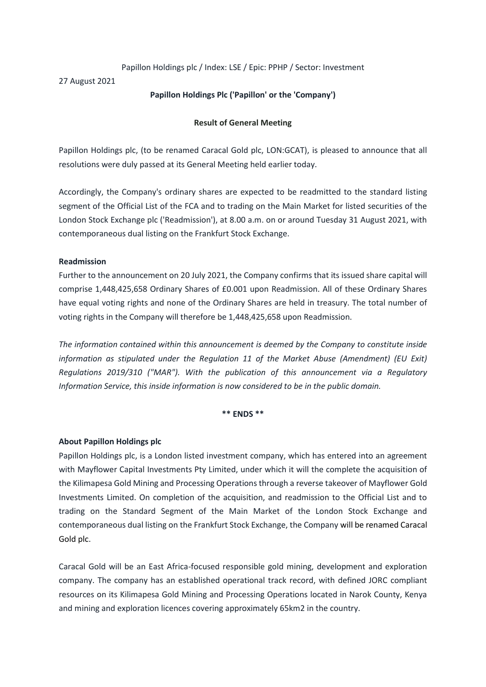# Papillon Holdings plc / Index: LSE / Epic: PPHP / Sector: Investment

27 August 2021

# **Papillon Holdings Plc ('Papillon' or the 'Company')**

# **Result of General Meeting**

Papillon Holdings plc, (to be renamed Caracal Gold plc, LON:GCAT), is pleased to announce that all resolutions were duly passed at its General Meeting held earlier today.

Accordingly, the Company's ordinary shares are expected to be readmitted to the standard listing segment of the Official List of the FCA and to trading on the Main Market for listed securities of the London Stock Exchange plc ('Readmission'), at 8.00 a.m. on or around Tuesday 31 August 2021, with contemporaneous dual listing on the Frankfurt Stock Exchange.

### **Readmission**

Further to the announcement on 20 July 2021, the Company confirms that its issued share capital will comprise 1,448,425,658 Ordinary Shares of £0.001 upon Readmission. All of these Ordinary Shares have equal voting rights and none of the Ordinary Shares are held in treasury. The total number of voting rights in the Company will therefore be 1,448,425,658 upon Readmission.

*The information contained within this announcement is deemed by the Company to constitute inside information as stipulated under the Regulation 11 of the Market Abuse (Amendment) (EU Exit) Regulations 2019/310 ("MAR"). With the publication of this announcement via a Regulatory Information Service, this inside information is now considered to be in the public domain.*

#### **\*\* ENDS \*\***

### **About Papillon Holdings plc**

Papillon Holdings plc, is a London listed investment company, which has entered into an agreement with Mayflower Capital Investments Pty Limited, under which it will the complete the acquisition of the Kilimapesa Gold Mining and Processing Operations through a reverse takeover of Mayflower Gold Investments Limited. On completion of the acquisition, and readmission to the Official List and to trading on the Standard Segment of the Main Market of the London Stock Exchange and contemporaneous dual listing on the Frankfurt Stock Exchange, the Company will be renamed Caracal Gold plc.

Caracal Gold will be an East Africa-focused responsible gold mining, development and exploration company. The company has an established operational track record, with defined JORC compliant resources on its Kilimapesa Gold Mining and Processing Operations located in Narok County, Kenya and mining and exploration licences covering approximately 65km2 in the country.